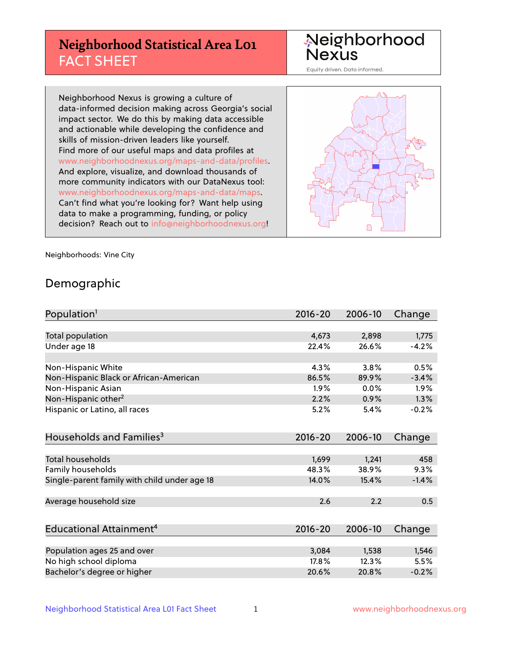# **Neighborhood Statistical Area L01** FACT SHEET

Neighborhood Nexus

Equity driven. Data informed.

Neighborhood Nexus is growing a culture of data-informed decision making across Georgia's social impact sector. We do this by making data accessible and actionable while developing the confidence and skills of mission-driven leaders like yourself. Find more of our useful maps and data profiles at www.neighborhoodnexus.org/maps-and-data/profiles. And explore, visualize, and download thousands of more community indicators with our DataNexus tool: www.neighborhoodnexus.org/maps-and-data/maps. Can't find what you're looking for? Want help using data to make a programming, funding, or policy decision? Reach out to [info@neighborhoodnexus.org!](mailto:info@neighborhoodnexus.org)



Neighborhoods: Vine City

### Demographic

| Population <sup>1</sup>                      | $2016 - 20$ | 2006-10 | Change  |
|----------------------------------------------|-------------|---------|---------|
|                                              |             |         |         |
| Total population                             | 4,673       | 2,898   | 1,775   |
| Under age 18                                 | 22.4%       | 26.6%   | $-4.2%$ |
|                                              |             |         |         |
| Non-Hispanic White                           | 4.3%        | 3.8%    | 0.5%    |
| Non-Hispanic Black or African-American       | 86.5%       | 89.9%   | $-3.4%$ |
| Non-Hispanic Asian                           | $1.9\%$     | $0.0\%$ | 1.9%    |
| Non-Hispanic other <sup>2</sup>              | 2.2%        | 0.9%    | 1.3%    |
| Hispanic or Latino, all races                | 5.2%        | 5.4%    | $-0.2%$ |
|                                              |             |         |         |
| Households and Families <sup>3</sup>         | $2016 - 20$ | 2006-10 | Change  |
|                                              |             |         |         |
| Total households                             | 1,699       | 1,241   | 458     |
| Family households                            | 48.3%       | 38.9%   | 9.3%    |
| Single-parent family with child under age 18 | 14.0%       | 15.4%   | $-1.4%$ |
|                                              |             |         |         |
| Average household size                       | 2.6         | 2.2     | 0.5     |
|                                              |             |         |         |
| Educational Attainment <sup>4</sup>          | $2016 - 20$ | 2006-10 | Change  |
|                                              |             |         |         |
| Population ages 25 and over                  | 3,084       | 1,538   | 1,546   |
| No high school diploma                       | 17.8%       | 12.3%   | 5.5%    |
| Bachelor's degree or higher                  | 20.6%       | 20.8%   | $-0.2%$ |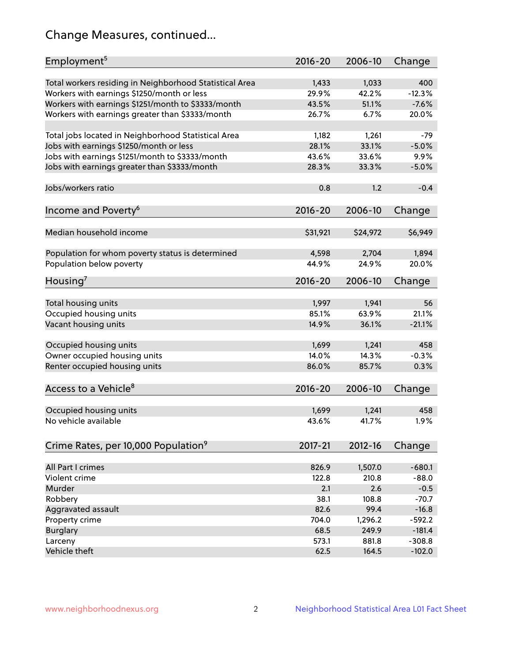# Change Measures, continued...

| Employment <sup>5</sup>                                                                               | $2016 - 20$    | 2006-10        | Change          |
|-------------------------------------------------------------------------------------------------------|----------------|----------------|-----------------|
|                                                                                                       |                |                |                 |
| Total workers residing in Neighborhood Statistical Area                                               | 1,433<br>29.9% | 1,033<br>42.2% | 400<br>$-12.3%$ |
| Workers with earnings \$1250/month or less                                                            | 43.5%          | 51.1%          | $-7.6%$         |
| Workers with earnings \$1251/month to \$3333/month<br>Workers with earnings greater than \$3333/month | 26.7%          | 6.7%           | 20.0%           |
|                                                                                                       |                |                |                 |
| Total jobs located in Neighborhood Statistical Area                                                   | 1,182          | 1,261          | $-79$           |
| Jobs with earnings \$1250/month or less                                                               | 28.1%          | 33.1%          | $-5.0%$         |
| Jobs with earnings \$1251/month to \$3333/month                                                       | 43.6%          | 33.6%          | 9.9%            |
| Jobs with earnings greater than \$3333/month                                                          | 28.3%          | 33.3%          | $-5.0%$         |
|                                                                                                       |                |                |                 |
| Jobs/workers ratio                                                                                    | 0.8            | 1.2            | $-0.4$          |
|                                                                                                       |                |                |                 |
| Income and Poverty <sup>6</sup>                                                                       | 2016-20        | 2006-10        | Change          |
|                                                                                                       |                |                |                 |
| Median household income                                                                               | \$31,921       | \$24,972       | \$6,949         |
| Population for whom poverty status is determined                                                      | 4,598          | 2,704          | 1,894           |
| Population below poverty                                                                              | 44.9%          | 24.9%          | 20.0%           |
|                                                                                                       |                |                |                 |
| Housing <sup>7</sup>                                                                                  | $2016 - 20$    | 2006-10        | Change          |
|                                                                                                       |                |                |                 |
| Total housing units                                                                                   | 1,997          | 1,941          | 56              |
| Occupied housing units                                                                                | 85.1%          | 63.9%          | 21.1%           |
| Vacant housing units                                                                                  | 14.9%          | 36.1%          | $-21.1%$        |
|                                                                                                       |                |                |                 |
| Occupied housing units                                                                                | 1,699          | 1,241          | 458             |
| Owner occupied housing units                                                                          | 14.0%          | 14.3%          | $-0.3%$         |
| Renter occupied housing units                                                                         | 86.0%          | 85.7%          | 0.3%            |
| Access to a Vehicle <sup>8</sup>                                                                      | $2016 - 20$    | 2006-10        |                 |
|                                                                                                       |                |                | Change          |
| Occupied housing units                                                                                | 1,699          | 1,241          | 458             |
| No vehicle available                                                                                  | 43.6%          | 41.7%          | 1.9%            |
|                                                                                                       |                |                |                 |
| Crime Rates, per 10,000 Population <sup>9</sup>                                                       | 2017-21        | 2012-16        | Change          |
|                                                                                                       |                |                |                 |
| All Part I crimes                                                                                     | 826.9          | 1,507.0        | $-680.1$        |
| Violent crime                                                                                         | 122.8          | 210.8          | $-88.0$         |
| Murder                                                                                                | 2.1            | 2.6            | $-0.5$          |
| Robbery                                                                                               | 38.1           | 108.8          | $-70.7$         |
| Aggravated assault                                                                                    | 82.6           | 99.4           | $-16.8$         |
| Property crime                                                                                        | 704.0          | 1,296.2        | $-592.2$        |
| <b>Burglary</b>                                                                                       | 68.5           | 249.9          | $-181.4$        |
| Larceny                                                                                               | 573.1          | 881.8          | $-308.8$        |
| Vehicle theft                                                                                         | 62.5           | 164.5          | $-102.0$        |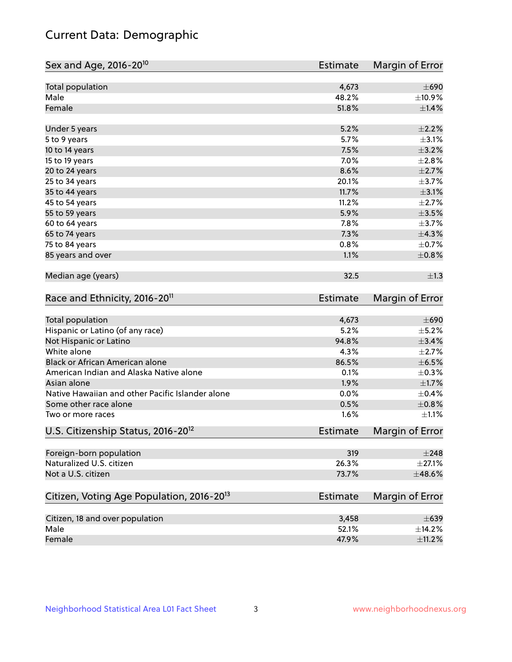# Current Data: Demographic

| Sex and Age, 2016-20 <sup>10</sup>                    | Estimate        | Margin of Error |
|-------------------------------------------------------|-----------------|-----------------|
| Total population                                      | 4,673           | $\pm 690$       |
| Male                                                  | 48.2%           | ±10.9%          |
| Female                                                | 51.8%           | ±1.4%           |
| Under 5 years                                         | 5.2%            | $\pm 2.2\%$     |
| 5 to 9 years                                          | 5.7%            | $\pm$ 3.1%      |
| 10 to 14 years                                        | 7.5%            | $\pm$ 3.2%      |
| 15 to 19 years                                        | 7.0%            | ±2.8%           |
| 20 to 24 years                                        | 8.6%            | $\pm 2.7\%$     |
| 25 to 34 years                                        | 20.1%           | $\pm$ 3.7%      |
| 35 to 44 years                                        | 11.7%           | $\pm$ 3.1%      |
| 45 to 54 years                                        | 11.2%           | $\pm 2.7\%$     |
| 55 to 59 years                                        | 5.9%            | $\pm$ 3.5%      |
| 60 to 64 years                                        | 7.8%            | $\pm$ 3.7%      |
| 65 to 74 years                                        | 7.3%            | ±4.3%           |
| 75 to 84 years                                        | 0.8%            | $\pm$ 0.7%      |
| 85 years and over                                     | 1.1%            | $\pm$ 0.8%      |
| Median age (years)                                    | 32.5            | $\pm 1.3$       |
| Race and Ethnicity, 2016-20 <sup>11</sup>             | <b>Estimate</b> | Margin of Error |
| Total population                                      | 4,673           | $\pm 690$       |
| Hispanic or Latino (of any race)                      | 5.2%            | $\pm$ 5.2%      |
| Not Hispanic or Latino                                | 94.8%           | $\pm$ 3.4%      |
| White alone                                           | 4.3%            | $\pm 2.7\%$     |
| Black or African American alone                       | 86.5%           | $\pm$ 6.5%      |
| American Indian and Alaska Native alone               | 0.1%            | $\pm$ 0.3%      |
| Asian alone                                           | 1.9%            | $\pm1.7\%$      |
| Native Hawaiian and other Pacific Islander alone      | 0.0%            | $\pm$ 0.4%      |
| Some other race alone                                 | 0.5%            | $\pm 0.8\%$     |
| Two or more races                                     | 1.6%            | $\pm 1.1\%$     |
| U.S. Citizenship Status, 2016-20 <sup>12</sup>        | <b>Estimate</b> | Margin of Error |
| Foreign-born population                               | 319             | $\pm 248$       |
| Naturalized U.S. citizen                              | 26.3%           | $\pm 27.1\%$    |
| Not a U.S. citizen                                    | 73.7%           | $\pm$ 48.6%     |
| Citizen, Voting Age Population, 2016-20 <sup>13</sup> | Estimate        | Margin of Error |
| Citizen, 18 and over population                       | 3,458           | $\pm 639$       |
| Male                                                  | 52.1%           | ±14.2%          |
| Female                                                | 47.9%           | $\pm$ 11.2%     |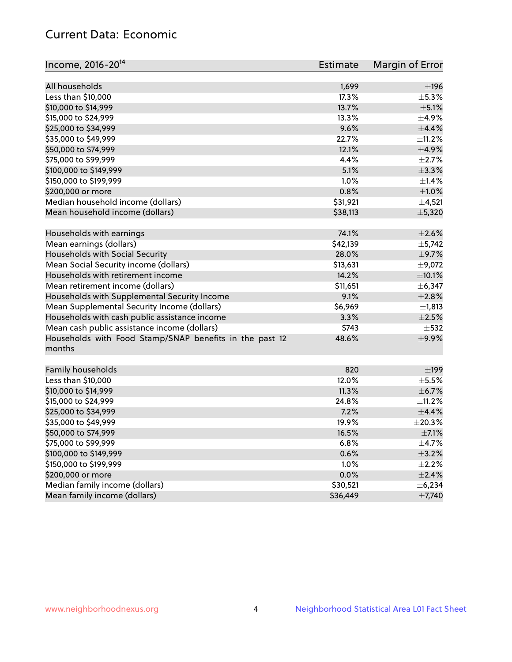# Current Data: Economic

| Income, 2016-20 <sup>14</sup>                                     | Estimate | Margin of Error |
|-------------------------------------------------------------------|----------|-----------------|
|                                                                   |          |                 |
| All households                                                    | 1,699    | ±196            |
| Less than \$10,000                                                | 17.3%    | $\pm$ 5.3%      |
| \$10,000 to \$14,999                                              | 13.7%    | $\pm$ 5.1%      |
| \$15,000 to \$24,999                                              | 13.3%    | $\pm$ 4.9%      |
| \$25,000 to \$34,999                                              | 9.6%     | $\pm$ 4.4%      |
| \$35,000 to \$49,999                                              | 22.7%    | ±11.2%          |
| \$50,000 to \$74,999                                              | 12.1%    | $\pm$ 4.9%      |
| \$75,000 to \$99,999                                              | 4.4%     | $\pm 2.7\%$     |
| \$100,000 to \$149,999                                            | 5.1%     | ±3.3%           |
| \$150,000 to \$199,999                                            | 1.0%     | $\pm$ 1.4%      |
| \$200,000 or more                                                 | 0.8%     | $\pm 1.0\%$     |
| Median household income (dollars)                                 | \$31,921 | $\pm$ 4,521     |
| Mean household income (dollars)                                   | \$38,113 | ±5,320          |
| Households with earnings                                          | 74.1%    | $\pm 2.6\%$     |
| Mean earnings (dollars)                                           | \$42,139 | ±5,742          |
| Households with Social Security                                   | 28.0%    | $\pm$ 9.7%      |
| Mean Social Security income (dollars)                             | \$13,631 | $\pm$ 9,072     |
| Households with retirement income                                 | 14.2%    | ±10.1%          |
| Mean retirement income (dollars)                                  | \$11,651 | $\pm$ 6,347     |
| Households with Supplemental Security Income                      | 9.1%     | $\pm 2.8\%$     |
| Mean Supplemental Security Income (dollars)                       | \$6,969  | ±1,813          |
| Households with cash public assistance income                     | 3.3%     | $\pm 2.5\%$     |
| Mean cash public assistance income (dollars)                      | \$743    | $\pm$ 532       |
|                                                                   | 48.6%    | $\pm$ 9.9%      |
| Households with Food Stamp/SNAP benefits in the past 12<br>months |          |                 |
| Family households                                                 | 820      | $\pm$ 199       |
| Less than \$10,000                                                | 12.0%    | $\pm$ 5.5%      |
| \$10,000 to \$14,999                                              | 11.3%    | $\pm$ 6.7%      |
| \$15,000 to \$24,999                                              | 24.8%    | $\pm$ 11.2%     |
| \$25,000 to \$34,999                                              | 7.2%     | ±4.4%           |
| \$35,000 to \$49,999                                              | 19.9%    | ±20.3%          |
|                                                                   | 16.5%    | $\pm$ 7.1%      |
| \$50,000 to \$74,999<br>\$75,000 to \$99,999                      | 6.8%     | $\pm$ 4.7%      |
|                                                                   |          |                 |
| \$100,000 to \$149,999                                            | 0.6%     | $\pm$ 3.2%      |
| \$150,000 to \$199,999                                            | 1.0%     | $\pm 2.2\%$     |
| \$200,000 or more                                                 | 0.0%     | $\pm 2.4\%$     |
| Median family income (dollars)                                    | \$30,521 | ±6,234          |
| Mean family income (dollars)                                      | \$36,449 | $\pm$ 7,740     |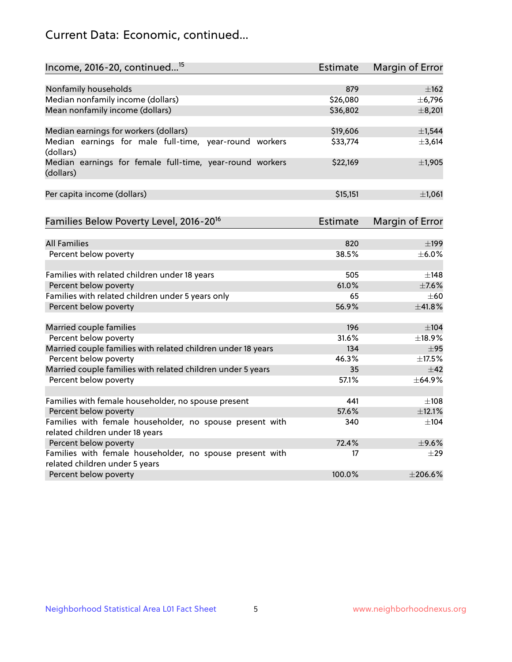# Current Data: Economic, continued...

| Income, 2016-20, continued <sup>15</sup>                                                    | <b>Estimate</b> | Margin of Error        |
|---------------------------------------------------------------------------------------------|-----------------|------------------------|
|                                                                                             |                 |                        |
| Nonfamily households                                                                        | 879             | $\pm 162$              |
| Median nonfamily income (dollars)                                                           | \$26,080        | ± 6,796                |
| Mean nonfamily income (dollars)                                                             | \$36,802        | ±8,201                 |
| Median earnings for workers (dollars)                                                       | \$19,606        | ±1,544                 |
| Median earnings for male full-time, year-round workers<br>(dollars)                         | \$33,774        | ±3,614                 |
| Median earnings for female full-time, year-round workers<br>(dollars)                       | \$22,169        | $\pm$ 1,905            |
| Per capita income (dollars)                                                                 | \$15,151        | ±1,061                 |
| Families Below Poverty Level, 2016-20 <sup>16</sup>                                         | Estimate        | <b>Margin of Error</b> |
|                                                                                             |                 |                        |
| <b>All Families</b>                                                                         | 820             | $\pm$ 199              |
| Percent below poverty                                                                       | 38.5%           | $\pm$ 6.0%             |
| Families with related children under 18 years                                               | 505             | ±148                   |
| Percent below poverty                                                                       | 61.0%           | $\pm$ 7.6%             |
| Families with related children under 5 years only                                           | 65              | $\pm 60$               |
| Percent below poverty                                                                       | 56.9%           | ±41.8%                 |
| Married couple families                                                                     | 196             | $\pm$ 104              |
| Percent below poverty                                                                       | 31.6%           | ±18.9%                 |
| Married couple families with related children under 18 years                                | 134             | $\pm$ 95               |
| Percent below poverty                                                                       | 46.3%           | $\pm$ 17.5%            |
| Married couple families with related children under 5 years                                 | 35              | ±42                    |
| Percent below poverty                                                                       | 57.1%           | $+64.9%$               |
|                                                                                             |                 |                        |
| Families with female householder, no spouse present                                         | 441             | ±108                   |
| Percent below poverty                                                                       | 57.6%           | ±12.1%                 |
| Families with female householder, no spouse present with<br>related children under 18 years | 340             | $\pm$ 104              |
| Percent below poverty                                                                       | 72.4%           | $\pm$ 9.6%             |
| Families with female householder, no spouse present with                                    | 17              | $\pm 29$               |
| related children under 5 years                                                              |                 |                        |
| Percent below poverty                                                                       | 100.0%          | ±206.6%                |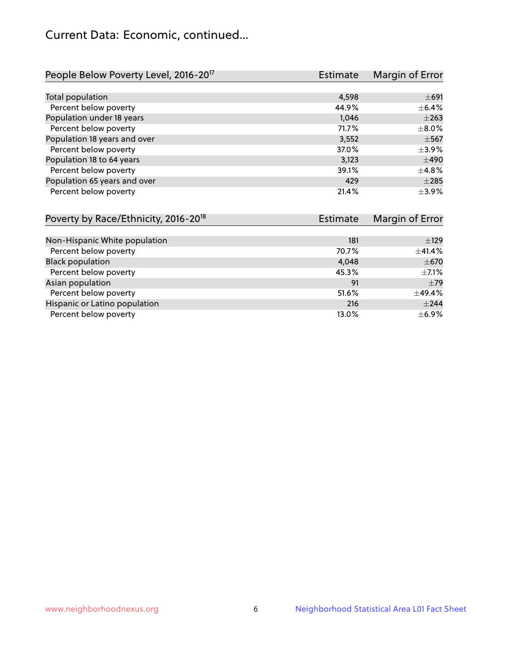# Current Data: Economic, continued...

| People Below Poverty Level, 2016-20 <sup>17</sup> | <b>Estimate</b> | Margin of Error |
|---------------------------------------------------|-----------------|-----------------|
|                                                   |                 |                 |
| Total population                                  | 4,598           | $\pm 691$       |
| Percent below poverty                             | 44.9%           | $\pm$ 6.4%      |
| Population under 18 years                         | 1,046           | $\pm 263$       |
| Percent below poverty                             | 71.7%           | $\pm$ 8.0%      |
| Population 18 years and over                      | 3,552           | $\pm$ 567       |
| Percent below poverty                             | 37.0%           | $\pm$ 3.9%      |
| Population 18 to 64 years                         | 3,123           | $\pm 490$       |
| Percent below poverty                             | 39.1%           | ±4.8%           |
| Population 65 years and over                      | 429             | $\pm 285$       |
| Percent below poverty                             | 21.4%           | $\pm$ 3.9%      |

| Poverty by Race/Ethnicity, 2016-20 <sup>18</sup> | <b>Estimate</b> |             |
|--------------------------------------------------|-----------------|-------------|
|                                                  |                 |             |
| Non-Hispanic White population                    | 181             | $\pm$ 129   |
| Percent below poverty                            | 70.7%           | $\pm$ 41.4% |
| <b>Black population</b>                          | 4,048           | $\pm$ 670   |
| Percent below poverty                            | 45.3%           | $\pm$ 7.1%  |
| Asian population                                 | 91              | $\pm$ 79    |
| Percent below poverty                            | 51.6%           | ±49.4%      |
| Hispanic or Latino population                    | 216             | $\pm 244$   |
| Percent below poverty                            | 13.0%           | $\pm$ 6.9%  |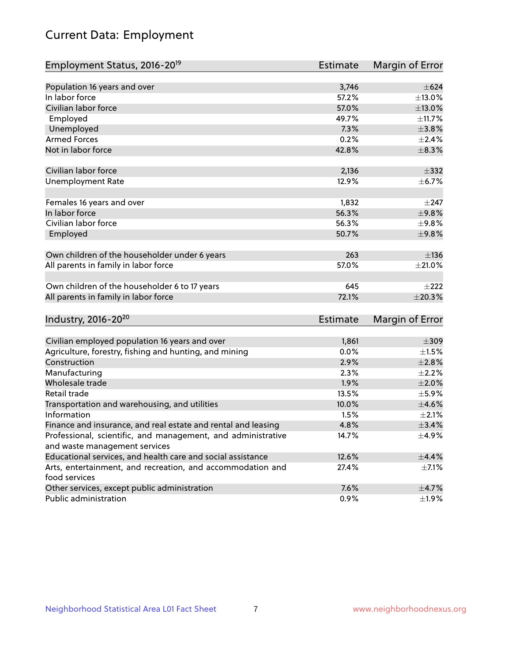# Current Data: Employment

| Employment Status, 2016-20 <sup>19</sup>                      | Estimate        | Margin of Error |
|---------------------------------------------------------------|-----------------|-----------------|
|                                                               |                 |                 |
| Population 16 years and over                                  | 3,746           | $\pm 624$       |
| In labor force                                                | 57.2%           | ±13.0%          |
| Civilian labor force                                          | 57.0%           | $\pm$ 13.0%     |
| Employed                                                      | 49.7%           | ±11.7%          |
| Unemployed                                                    | 7.3%            | $\pm$ 3.8%      |
| <b>Armed Forces</b>                                           | 0.2%            | $\pm 2.4\%$     |
| Not in labor force                                            | 42.8%           | ±8.3%           |
| Civilian labor force                                          | 2,136           | $\pm$ 332       |
| <b>Unemployment Rate</b>                                      | 12.9%           | $\pm$ 6.7%      |
|                                                               |                 |                 |
| Females 16 years and over                                     | 1,832           | $\pm$ 247       |
| In labor force                                                | 56.3%           | ±9.8%           |
| Civilian labor force                                          | 56.3%           | $\pm$ 9.8%      |
| Employed                                                      | 50.7%           | ±9.8%           |
| Own children of the householder under 6 years                 | 263             | ±136            |
|                                                               |                 | $\pm 21.0\%$    |
| All parents in family in labor force                          | 57.0%           |                 |
| Own children of the householder 6 to 17 years                 | 645             | $\pm 222$       |
| All parents in family in labor force                          | 72.1%           | $\pm 20.3\%$    |
|                                                               |                 |                 |
| Industry, 2016-20 <sup>20</sup>                               | <b>Estimate</b> | Margin of Error |
| Civilian employed population 16 years and over                | 1,861           | $\pm 309$       |
| Agriculture, forestry, fishing and hunting, and mining        | 0.0%            | $\pm 1.5\%$     |
| Construction                                                  | 2.9%            | $\pm 2.8\%$     |
| Manufacturing                                                 | 2.3%            | $\pm 2.2\%$     |
| Wholesale trade                                               | 1.9%            | $\pm 2.0\%$     |
| Retail trade                                                  | 13.5%           | $\pm$ 5.9%      |
| Transportation and warehousing, and utilities                 | 10.0%           | $\pm 4.6\%$     |
| Information                                                   | 1.5%            | $\pm 2.1\%$     |
| Finance and insurance, and real estate and rental and leasing | 4.8%            | ±3.4%           |
| Professional, scientific, and management, and administrative  | 14.7%           | $\pm$ 4.9%      |
| and waste management services                                 |                 |                 |
| Educational services, and health care and social assistance   | 12.6%           | ±4.4%           |
| Arts, entertainment, and recreation, and accommodation and    | 27.4%           | $\pm$ 7.1%      |
| food services                                                 |                 |                 |
| Other services, except public administration                  | 7.6%            | $\pm$ 4.7%      |
| Public administration                                         | 0.9%            | ±1.9%           |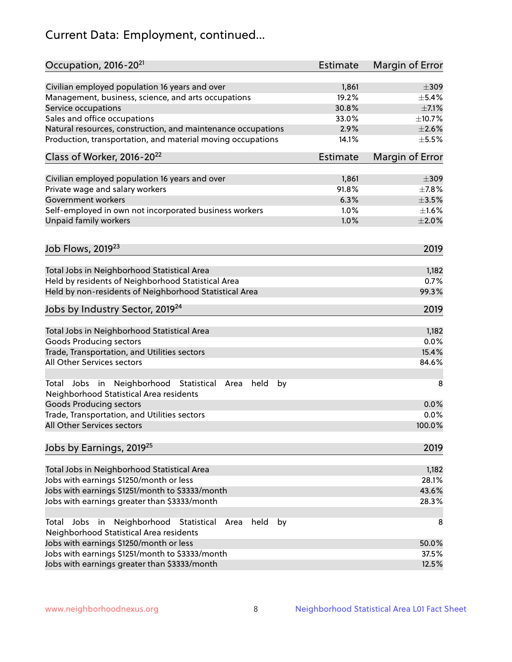# Current Data: Employment, continued...

| Occupation, 2016-20 <sup>21</sup>                                                                       | Estimate | Margin of Error |
|---------------------------------------------------------------------------------------------------------|----------|-----------------|
| Civilian employed population 16 years and over                                                          | 1,861    | $\pm 309$       |
| Management, business, science, and arts occupations                                                     | 19.2%    | $\pm$ 5.4%      |
| Service occupations                                                                                     | 30.8%    | $\pm$ 7.1%      |
| Sales and office occupations                                                                            | 33.0%    | ±10.7%          |
| Natural resources, construction, and maintenance occupations                                            | 2.9%     | $\pm 2.6\%$     |
| Production, transportation, and material moving occupations                                             | 14.1%    | $\pm$ 5.5%      |
| Class of Worker, 2016-20 <sup>22</sup>                                                                  | Estimate | Margin of Error |
| Civilian employed population 16 years and over                                                          | 1,861    | $\pm$ 309       |
| Private wage and salary workers                                                                         | 91.8%    | $\pm$ 7.8%      |
| Government workers                                                                                      | 6.3%     | $\pm$ 3.5%      |
| Self-employed in own not incorporated business workers                                                  | 1.0%     | $\pm1.6\%$      |
| Unpaid family workers                                                                                   | 1.0%     | $\pm 2.0\%$     |
|                                                                                                         |          |                 |
| Job Flows, 2019 <sup>23</sup>                                                                           |          | 2019            |
| Total Jobs in Neighborhood Statistical Area                                                             |          | 1,182           |
| Held by residents of Neighborhood Statistical Area                                                      |          | 0.7%            |
| Held by non-residents of Neighborhood Statistical Area                                                  |          | 99.3%           |
| Jobs by Industry Sector, 2019 <sup>24</sup>                                                             |          | 2019            |
| Total Jobs in Neighborhood Statistical Area                                                             |          | 1,182           |
| <b>Goods Producing sectors</b>                                                                          |          | 0.0%            |
| Trade, Transportation, and Utilities sectors                                                            |          | 15.4%           |
| All Other Services sectors                                                                              |          | 84.6%           |
| Total Jobs in Neighborhood Statistical<br>held<br>by<br>Area<br>Neighborhood Statistical Area residents |          | 8               |
| <b>Goods Producing sectors</b>                                                                          |          | 0.0%            |
| Trade, Transportation, and Utilities sectors                                                            |          | 0.0%            |
| All Other Services sectors                                                                              |          | 100.0%          |
| Jobs by Earnings, 2019 <sup>25</sup>                                                                    |          | 2019            |
| Total Jobs in Neighborhood Statistical Area                                                             |          | 1,182           |
| Jobs with earnings \$1250/month or less                                                                 |          | 28.1%           |
| Jobs with earnings \$1251/month to \$3333/month                                                         |          | 43.6%           |
| Jobs with earnings greater than \$3333/month                                                            |          | 28.3%           |
| Neighborhood Statistical<br>Jobs<br>in<br>held<br>by<br>Total<br>Area                                   |          | 8               |
| Neighborhood Statistical Area residents<br>Jobs with earnings \$1250/month or less                      |          | 50.0%           |
| Jobs with earnings \$1251/month to \$3333/month                                                         |          | 37.5%           |
| Jobs with earnings greater than \$3333/month                                                            |          | 12.5%           |
|                                                                                                         |          |                 |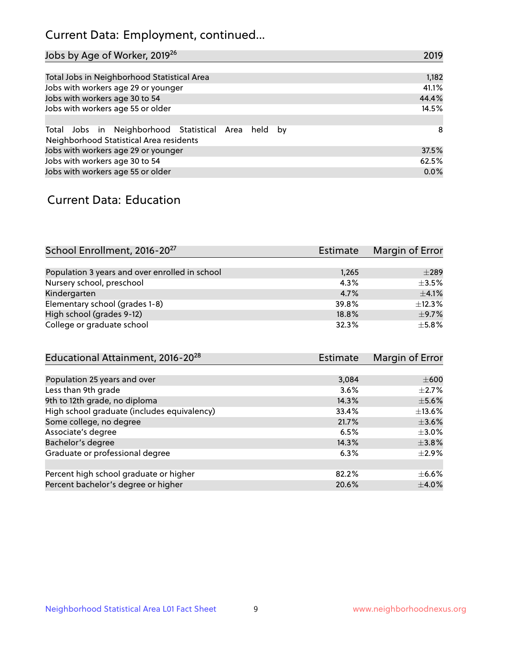# Current Data: Employment, continued...

| Jobs by Age of Worker, 2019 <sup>26</sup>                                                      | 2019  |
|------------------------------------------------------------------------------------------------|-------|
|                                                                                                |       |
| Total Jobs in Neighborhood Statistical Area                                                    | 1,182 |
| Jobs with workers age 29 or younger                                                            | 41.1% |
| Jobs with workers age 30 to 54                                                                 | 44.4% |
| Jobs with workers age 55 or older                                                              | 14.5% |
|                                                                                                |       |
| Total Jobs in Neighborhood Statistical Area held by<br>Neighborhood Statistical Area residents | -8    |
| Jobs with workers age 29 or younger                                                            | 37.5% |
| Jobs with workers age 30 to 54                                                                 | 62.5% |
| Jobs with workers age 55 or older                                                              | 0.0%  |

### Current Data: Education

| School Enrollment, 2016-20 <sup>27</sup>       | <b>Estimate</b> | Margin of Error |
|------------------------------------------------|-----------------|-----------------|
|                                                |                 |                 |
| Population 3 years and over enrolled in school | 1,265           | $\pm 289$       |
| Nursery school, preschool                      | 4.3%            | $\pm$ 3.5%      |
| Kindergarten                                   | 4.7%            | $\pm$ 4.1%      |
| Elementary school (grades 1-8)                 | 39.8%           | ±12.3%          |
| High school (grades 9-12)                      | 18.8%           | $\pm$ 9.7%      |
| College or graduate school                     | 32.3%           | $+5.8%$         |

| Educational Attainment, 2016-20 <sup>28</sup> | Estimate | Margin of Error |
|-----------------------------------------------|----------|-----------------|
|                                               |          |                 |
| Population 25 years and over                  | 3,084    | $\pm 600$       |
| Less than 9th grade                           | 3.6%     | $\pm 2.7\%$     |
| 9th to 12th grade, no diploma                 | 14.3%    | $\pm$ 5.6%      |
| High school graduate (includes equivalency)   | 33.4%    | $\pm$ 13.6%     |
| Some college, no degree                       | 21.7%    | $\pm$ 3.6%      |
| Associate's degree                            | 6.5%     | $\pm$ 3.0%      |
| Bachelor's degree                             | 14.3%    | $\pm$ 3.8%      |
| Graduate or professional degree               | 6.3%     | $\pm 2.9\%$     |
|                                               |          |                 |
| Percent high school graduate or higher        | 82.2%    | $\pm$ 6.6%      |
| Percent bachelor's degree or higher           | 20.6%    | $\pm$ 4.0%      |
|                                               |          |                 |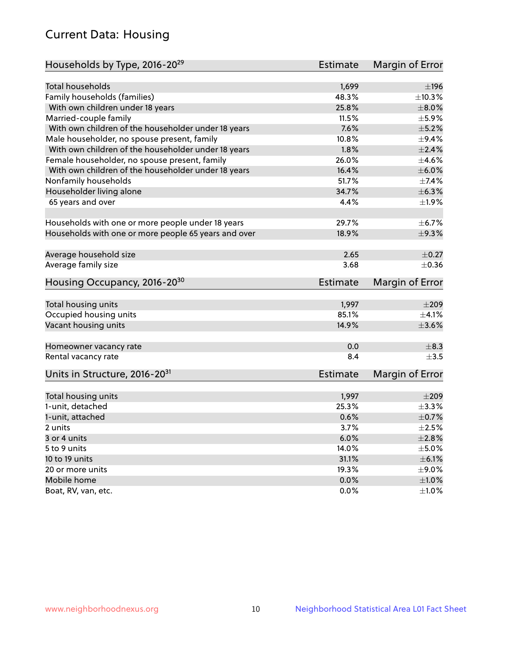# Current Data: Housing

| Households by Type, 2016-20 <sup>29</sup>            | <b>Estimate</b> | Margin of Error |
|------------------------------------------------------|-----------------|-----------------|
|                                                      |                 |                 |
| Total households                                     | 1,699           | ±196            |
| Family households (families)                         | 48.3%           | ±10.3%          |
| With own children under 18 years                     | 25.8%           | $\pm 8.0\%$     |
| Married-couple family                                | 11.5%           | $\pm$ 5.9%      |
| With own children of the householder under 18 years  | 7.6%            | $\pm$ 5.2%      |
| Male householder, no spouse present, family          | 10.8%           | $\pm$ 9.4%      |
| With own children of the householder under 18 years  | 1.8%            | $\pm 2.4\%$     |
| Female householder, no spouse present, family        | 26.0%           | $\pm 4.6\%$     |
| With own children of the householder under 18 years  | 16.4%           | $\pm$ 6.0%      |
| Nonfamily households                                 | 51.7%           | ±7.4%           |
| Householder living alone                             | 34.7%           | ±6.3%           |
| 65 years and over                                    | 4.4%            | $\pm$ 1.9%      |
| Households with one or more people under 18 years    | 29.7%           | $\pm$ 6.7%      |
| Households with one or more people 65 years and over | 18.9%           | $\pm$ 9.3%      |
|                                                      |                 |                 |
| Average household size                               | 2.65            | $\pm$ 0.27      |
| Average family size                                  | 3.68            | $\pm$ 0.36      |
| Housing Occupancy, 2016-20 <sup>30</sup>             | <b>Estimate</b> | Margin of Error |
| Total housing units                                  | 1,997           | $\pm 209$       |
| Occupied housing units                               | 85.1%           | $\pm$ 4.1%      |
| Vacant housing units                                 | 14.9%           | $\pm 3.6\%$     |
|                                                      |                 |                 |
| Homeowner vacancy rate                               | 0.0             | $\pm$ 8.3       |
| Rental vacancy rate                                  | 8.4             | $+3.5$          |
| Units in Structure, 2016-20 <sup>31</sup>            | Estimate        | Margin of Error |
| Total housing units                                  | 1,997           | $\pm 209$       |
| 1-unit, detached                                     | 25.3%           | ±3.3%           |
| 1-unit, attached                                     | 0.6%            | $\pm$ 0.7%      |
| 2 units                                              | 3.7%            | $\pm 2.5\%$     |
| 3 or 4 units                                         | 6.0%            | ±2.8%           |
| 5 to 9 units                                         | 14.0%           | $\pm$ 5.0%      |
| 10 to 19 units                                       | 31.1%           | $\pm$ 6.1%      |
| 20 or more units                                     | 19.3%           | $\pm$ 9.0%      |
| Mobile home                                          | 0.0%            | $\pm1.0\%$      |
|                                                      |                 | $\pm 1.0\%$     |
| Boat, RV, van, etc.                                  | $0.0\%$         |                 |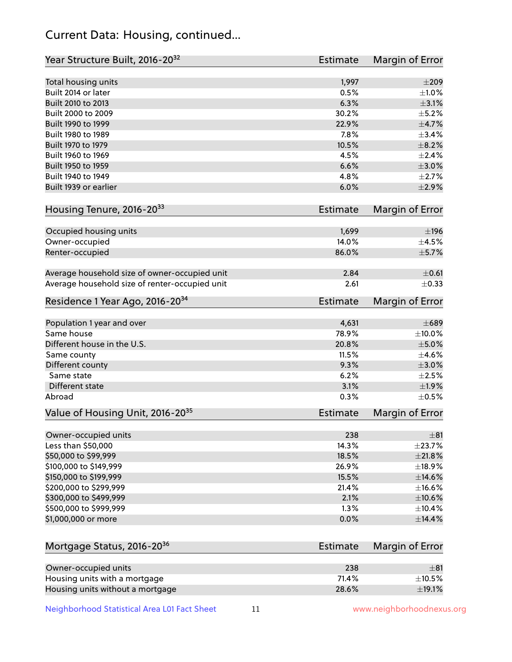# Current Data: Housing, continued...

| Year Structure Built, 2016-20 <sup>32</sup>           | <b>Estimate</b> | Margin of Error         |
|-------------------------------------------------------|-----------------|-------------------------|
| Total housing units                                   | 1,997           | $\pm 209$               |
| Built 2014 or later                                   | 0.5%            | $\pm 1.0\%$             |
| Built 2010 to 2013                                    | 6.3%            | $\pm$ 3.1%              |
| Built 2000 to 2009                                    | 30.2%           | $\pm$ 5.2%              |
| Built 1990 to 1999                                    | 22.9%           | $\pm$ 4.7%              |
| Built 1980 to 1989                                    | 7.8%            | $\pm$ 3.4%              |
| Built 1970 to 1979                                    | 10.5%           | $\pm$ 8.2%              |
| Built 1960 to 1969                                    | 4.5%            | $\pm 2.4\%$             |
| Built 1950 to 1959                                    | 6.6%            | $\pm 3.0\%$             |
| Built 1940 to 1949                                    | 4.8%            | $\pm 2.7\%$             |
| Built 1939 or earlier                                 | 6.0%            | $\pm 2.9\%$             |
|                                                       |                 |                         |
| Housing Tenure, 2016-2033                             | <b>Estimate</b> | Margin of Error         |
| Occupied housing units                                | 1,699           | $\pm$ 196               |
| Owner-occupied                                        | 14.0%           | $\pm$ 4.5%              |
| Renter-occupied                                       | 86.0%           | $\pm$ 5.7%              |
|                                                       |                 |                         |
| Average household size of owner-occupied unit         | 2.84            | $\pm$ 0.61              |
| Average household size of renter-occupied unit        | 2.61            | $\pm$ 0.33              |
| Residence 1 Year Ago, 2016-20 <sup>34</sup>           | <b>Estimate</b> | Margin of Error         |
|                                                       |                 |                         |
| Population 1 year and over                            | 4,631           | $\pm 689$               |
| Same house                                            | 78.9%           | ±10.0%                  |
| Different house in the U.S.                           | 20.8%           | $\pm$ 5.0%              |
| Same county                                           | 11.5%           | $\pm 4.6\%$             |
| Different county                                      | 9.3%            | $\pm 3.0\%$             |
| Same state                                            | 6.2%            | $\pm 2.5\%$             |
| <b>Different state</b>                                | 3.1%            | ±1.9%                   |
| Abroad                                                | 0.3%            | $\pm$ 0.5%              |
| Value of Housing Unit, 2016-20 <sup>35</sup>          | <b>Estimate</b> | Margin of Error         |
| Owner-occupied units                                  | 238             | $\pm$ 81                |
| Less than \$50,000                                    | 14.3%           | ±23.7%                  |
| \$50,000 to \$99,999                                  | 18.5%           | $\pm 21.8\%$            |
| \$100,000 to \$149,999                                | 26.9%           | ±18.9%                  |
| \$150,000 to \$199,999                                | 15.5%           | $\pm$ 14.6%             |
| \$200,000 to \$299,999                                | 21.4%           | $\pm$ 16.6%             |
| \$300,000 to \$499,999                                | 2.1%            | $\pm 10.6\%$            |
| \$500,000 to \$999,999                                | 1.3%            | ±10.4%                  |
| \$1,000,000 or more                                   | 0.0%            | ±14.4%                  |
|                                                       |                 |                         |
| Mortgage Status, 2016-20 <sup>36</sup>                | <b>Estimate</b> | Margin of Error         |
|                                                       |                 |                         |
| Owner-occupied units<br>Housing units with a mortgage | 238<br>71.4%    | $\pm$ 81<br>$\pm$ 10.5% |
| Housing units without a mortgage                      | 28.6%           | ±19.1%                  |
|                                                       |                 |                         |

Neighborhood Statistical Area L01 Fact Sheet 11 11 www.neighborhoodnexus.org

Housing units without a mortgage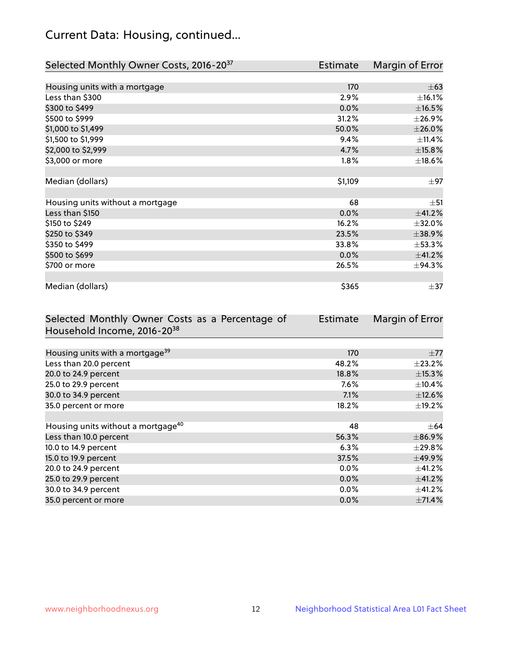# Current Data: Housing, continued...

| Selected Monthly Owner Costs, 2016-20 <sup>37</sup> | <b>Estimate</b> | Margin of Error |
|-----------------------------------------------------|-----------------|-----------------|
|                                                     |                 |                 |
| Housing units with a mortgage                       | 170             | $\pm 63$        |
| Less than \$300                                     | 2.9%            | ±16.1%          |
| \$300 to \$499                                      | 0.0%            | $\pm$ 16.5%     |
| \$500 to \$999                                      | 31.2%           | ±26.9%          |
| \$1,000 to \$1,499                                  | 50.0%           | $\pm 26.0\%$    |
| \$1,500 to \$1,999                                  | 9.4%            | ±11.4%          |
| \$2,000 to \$2,999                                  | 4.7%            | ±15.8%          |
| \$3,000 or more                                     | 1.8%            | ±18.6%          |
|                                                     |                 |                 |
| Median (dollars)                                    | \$1,109         | $\pm$ 97        |
|                                                     |                 |                 |
| Housing units without a mortgage                    | 68              | $\pm$ 51        |
| Less than \$150                                     | 0.0%            | $\pm$ 41.2%     |
| \$150 to \$249                                      | 16.2%           | ±32.0%          |
| \$250 to \$349                                      | 23.5%           | ±38.9%          |
| \$350 to \$499                                      | 33.8%           | $\pm$ 53.3%     |
| \$500 to \$699                                      | 0.0%            | ±41.2%          |
| \$700 or more                                       | 26.5%           | ±94.3%          |
|                                                     |                 |                 |
| Median (dollars)                                    | \$365           | $\pm$ 37        |

| Selected Monthly Owner Costs as a Percentage of | Estimate | Margin of Error |
|-------------------------------------------------|----------|-----------------|
| Household Income, 2016-20 <sup>38</sup>         |          |                 |
|                                                 |          |                 |
| Housing units with a mortgage <sup>39</sup>     | 170      | $\pm 77$        |
| Less than 20.0 percent                          | 48.2%    | $\pm 23.2\%$    |
| 20.0 to 24.9 percent                            | 18.8%    | $\pm$ 15.3%     |
| 25.0 to 29.9 percent                            | 7.6%     | $\pm$ 10.4%     |
| 30.0 to 34.9 percent                            | 7.1%     | $\pm$ 12.6%     |
| 35.0 percent or more                            | 18.2%    | $\pm$ 19.2%     |
|                                                 |          |                 |
| Housing units without a mortgage <sup>40</sup>  | 48       | $\pm$ 64        |
| Less than 10.0 percent                          | 56.3%    | $\pm$ 86.9%     |
| 10.0 to 14.9 percent                            | 6.3%     | $\pm$ 29.8%     |
| 15.0 to 19.9 percent                            | 37.5%    | ±49.9%          |
| 20.0 to 24.9 percent                            | $0.0\%$  | $\pm$ 41.2%     |
| 25.0 to 29.9 percent                            | 0.0%     | ±41.2%          |
| 30.0 to 34.9 percent                            | $0.0\%$  | $\pm$ 41.2%     |
| 35.0 percent or more                            | 0.0%     | $\pm$ 71.4%     |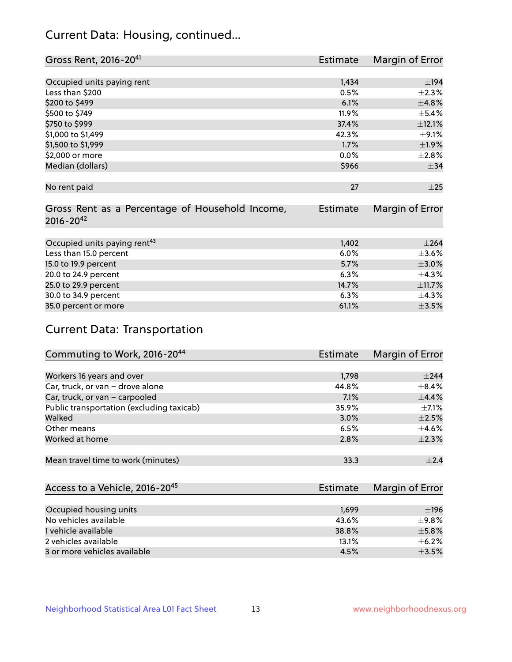# Current Data: Housing, continued...

| Gross Rent, 2016-20 <sup>41</sup>               | <b>Estimate</b> | Margin of Error |
|-------------------------------------------------|-----------------|-----------------|
|                                                 |                 |                 |
| Occupied units paying rent                      | 1,434           | $\pm$ 194       |
| Less than \$200                                 | 0.5%            | $\pm 2.3\%$     |
| \$200 to \$499                                  | 6.1%            | ±4.8%           |
| \$500 to \$749                                  | 11.9%           | $\pm$ 5.4%      |
| \$750 to \$999                                  | 37.4%           | ±12.1%          |
| \$1,000 to \$1,499                              | 42.3%           | $\pm$ 9.1%      |
| \$1,500 to \$1,999                              | 1.7%            | ±1.9%           |
| \$2,000 or more                                 | 0.0%            | ±2.8%           |
| Median (dollars)                                | \$966           | $\pm$ 34        |
|                                                 |                 |                 |
| No rent paid                                    | 27              | $\pm 25$        |
|                                                 |                 |                 |
| Gross Rent as a Percentage of Household Income, | <b>Estimate</b> | Margin of Error |
| $2016 - 20^{42}$                                |                 |                 |
|                                                 |                 |                 |
| Occupied units paying rent <sup>43</sup>        | 1,402           | $\pm 264$       |
| Less than 15.0 percent                          | 6.0%            | $\pm 3.6\%$     |
| 15.0 to 19.9 percent                            | 5.7%            | $\pm 3.0\%$     |
| 20.0 to 24.9 percent                            | 6.3%            | ±4.3%           |
| 25.0 to 29.9 percent                            | 14.7%           | ±11.7%          |
| 30.0 to 34.9 percent                            | 6.3%            | $\pm$ 4.3%      |
| 35.0 percent or more                            | 61.1%           | $\pm$ 3.5%      |

# Current Data: Transportation

| Commuting to Work, 2016-20 <sup>44</sup>  | <b>Estimate</b> | Margin of Error |
|-------------------------------------------|-----------------|-----------------|
|                                           |                 |                 |
| Workers 16 years and over                 | 1,798           | $+244$          |
| Car, truck, or van - drove alone          | 44.8%           | $\pm$ 8.4%      |
| Car, truck, or van - carpooled            | 7.1%            | ±4.4%           |
| Public transportation (excluding taxicab) | 35.9%           | $+7.1%$         |
| Walked                                    | 3.0%            | $\pm 2.5\%$     |
| Other means                               | 6.5%            | $\pm$ 4.6%      |
| Worked at home                            | 2.8%            | $\pm 2.3\%$     |
|                                           |                 |                 |
| Mean travel time to work (minutes)        | 33.3            | $\pm 2.4$       |

| Access to a Vehicle, 2016-20 <sup>45</sup> | Estimate | Margin of Error |
|--------------------------------------------|----------|-----------------|
|                                            |          |                 |
| Occupied housing units                     | 1,699    | ±196            |
| No vehicles available                      | 43.6%    | $+9.8%$         |
| 1 vehicle available                        | 38.8%    | $\pm$ 5.8%      |
| 2 vehicles available                       | 13.1%    | $+6.2%$         |
| 3 or more vehicles available               | 4.5%     | $+3.5%$         |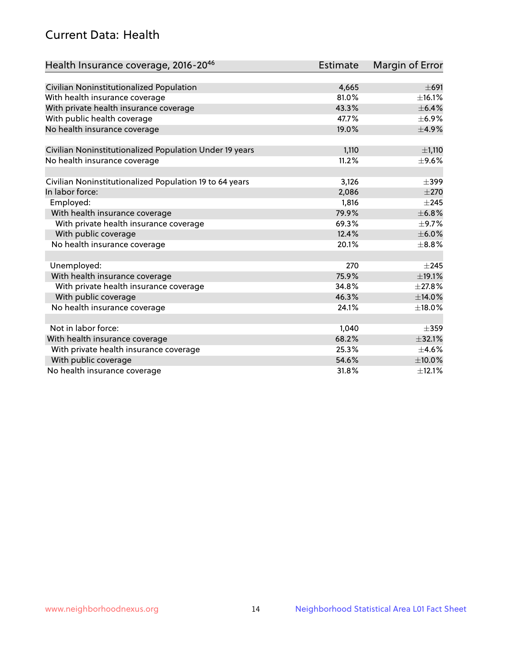# Current Data: Health

| Health Insurance coverage, 2016-2046                    | <b>Estimate</b> | Margin of Error |
|---------------------------------------------------------|-----------------|-----------------|
|                                                         |                 |                 |
| Civilian Noninstitutionalized Population                | 4,665           | $\pm 691$       |
| With health insurance coverage                          | 81.0%           | ±16.1%          |
| With private health insurance coverage                  | 43.3%           | $\pm$ 6.4%      |
| With public health coverage                             | 47.7%           | $\pm$ 6.9%      |
| No health insurance coverage                            | 19.0%           | $\pm$ 4.9%      |
| Civilian Noninstitutionalized Population Under 19 years | 1,110           | ±1,110          |
| No health insurance coverage                            | 11.2%           | $\pm$ 9.6%      |
| Civilian Noninstitutionalized Population 19 to 64 years | 3,126           | $\pm$ 399       |
| In labor force:                                         | 2,086           | $\pm 270$       |
| Employed:                                               | 1,816           | $\pm 245$       |
| With health insurance coverage                          | 79.9%           | ±6.8%           |
| With private health insurance coverage                  | 69.3%           | $\pm$ 9.7%      |
| With public coverage                                    | 12.4%           | $\pm$ 6.0%      |
| No health insurance coverage                            | 20.1%           | $\pm$ 8.8%      |
|                                                         |                 |                 |
| Unemployed:                                             | 270             | $+245$          |
| With health insurance coverage                          | 75.9%           | ±19.1%          |
| With private health insurance coverage                  | 34.8%           | ±27.8%          |
| With public coverage                                    | 46.3%           | ±14.0%          |
| No health insurance coverage                            | 24.1%           | ±18.0%          |
|                                                         |                 |                 |
| Not in labor force:                                     | 1,040           | $\pm$ 359       |
| With health insurance coverage                          | 68.2%           | ±32.1%          |
| With private health insurance coverage                  | 25.3%           | $\pm$ 4.6%      |
| With public coverage                                    | 54.6%           | $\pm$ 10.0%     |
| No health insurance coverage                            | 31.8%           | ±12.1%          |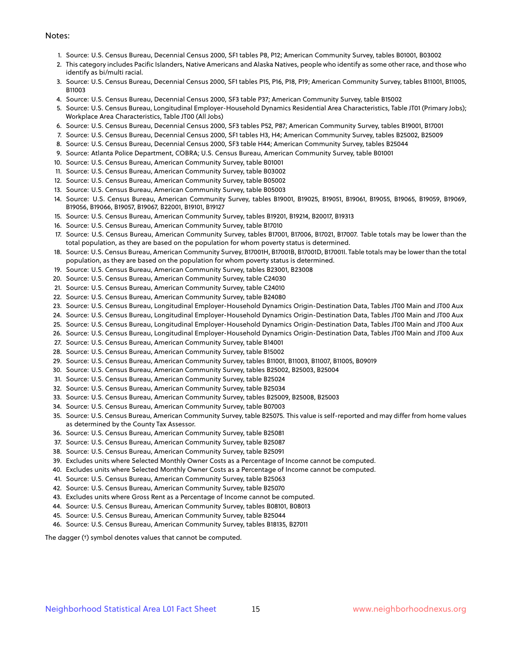#### Notes:

- 1. Source: U.S. Census Bureau, Decennial Census 2000, SF1 tables P8, P12; American Community Survey, tables B01001, B03002
- 2. This category includes Pacific Islanders, Native Americans and Alaska Natives, people who identify as some other race, and those who identify as bi/multi racial.
- 3. Source: U.S. Census Bureau, Decennial Census 2000, SF1 tables P15, P16, P18, P19; American Community Survey, tables B11001, B11005, B11003
- 4. Source: U.S. Census Bureau, Decennial Census 2000, SF3 table P37; American Community Survey, table B15002
- 5. Source: U.S. Census Bureau, Longitudinal Employer-Household Dynamics Residential Area Characteristics, Table JT01 (Primary Jobs); Workplace Area Characteristics, Table JT00 (All Jobs)
- 6. Source: U.S. Census Bureau, Decennial Census 2000, SF3 tables P52, P87; American Community Survey, tables B19001, B17001
- 7. Source: U.S. Census Bureau, Decennial Census 2000, SF1 tables H3, H4; American Community Survey, tables B25002, B25009
- 8. Source: U.S. Census Bureau, Decennial Census 2000, SF3 table H44; American Community Survey, tables B25044
- 9. Source: Atlanta Police Department, COBRA; U.S. Census Bureau, American Community Survey, table B01001
- 10. Source: U.S. Census Bureau, American Community Survey, table B01001
- 11. Source: U.S. Census Bureau, American Community Survey, table B03002
- 12. Source: U.S. Census Bureau, American Community Survey, table B05002
- 13. Source: U.S. Census Bureau, American Community Survey, table B05003
- 14. Source: U.S. Census Bureau, American Community Survey, tables B19001, B19025, B19051, B19061, B19055, B19065, B19059, B19069, B19056, B19066, B19057, B19067, B22001, B19101, B19127
- 15. Source: U.S. Census Bureau, American Community Survey, tables B19201, B19214, B20017, B19313
- 16. Source: U.S. Census Bureau, American Community Survey, table B17010
- 17. Source: U.S. Census Bureau, American Community Survey, tables B17001, B17006, B17021, B17007. Table totals may be lower than the total population, as they are based on the population for whom poverty status is determined.
- 18. Source: U.S. Census Bureau, American Community Survey, B17001H, B17001B, B17001D, B17001I. Table totals may be lower than the total population, as they are based on the population for whom poverty status is determined.
- 19. Source: U.S. Census Bureau, American Community Survey, tables B23001, B23008
- 20. Source: U.S. Census Bureau, American Community Survey, table C24030
- 21. Source: U.S. Census Bureau, American Community Survey, table C24010
- 22. Source: U.S. Census Bureau, American Community Survey, table B24080
- 23. Source: U.S. Census Bureau, Longitudinal Employer-Household Dynamics Origin-Destination Data, Tables JT00 Main and JT00 Aux
- 24. Source: U.S. Census Bureau, Longitudinal Employer-Household Dynamics Origin-Destination Data, Tables JT00 Main and JT00 Aux
- 25. Source: U.S. Census Bureau, Longitudinal Employer-Household Dynamics Origin-Destination Data, Tables JT00 Main and JT00 Aux
- 26. Source: U.S. Census Bureau, Longitudinal Employer-Household Dynamics Origin-Destination Data, Tables JT00 Main and JT00 Aux
- 27. Source: U.S. Census Bureau, American Community Survey, table B14001
- 28. Source: U.S. Census Bureau, American Community Survey, table B15002
- 29. Source: U.S. Census Bureau, American Community Survey, tables B11001, B11003, B11007, B11005, B09019
- 30. Source: U.S. Census Bureau, American Community Survey, tables B25002, B25003, B25004
- 31. Source: U.S. Census Bureau, American Community Survey, table B25024
- 32. Source: U.S. Census Bureau, American Community Survey, table B25034
- 33. Source: U.S. Census Bureau, American Community Survey, tables B25009, B25008, B25003
- 34. Source: U.S. Census Bureau, American Community Survey, table B07003
- 35. Source: U.S. Census Bureau, American Community Survey, table B25075. This value is self-reported and may differ from home values as determined by the County Tax Assessor.
- 36. Source: U.S. Census Bureau, American Community Survey, table B25081
- 37. Source: U.S. Census Bureau, American Community Survey, table B25087
- 38. Source: U.S. Census Bureau, American Community Survey, table B25091
- 39. Excludes units where Selected Monthly Owner Costs as a Percentage of Income cannot be computed.
- 40. Excludes units where Selected Monthly Owner Costs as a Percentage of Income cannot be computed.
- 41. Source: U.S. Census Bureau, American Community Survey, table B25063
- 42. Source: U.S. Census Bureau, American Community Survey, table B25070
- 43. Excludes units where Gross Rent as a Percentage of Income cannot be computed.
- 44. Source: U.S. Census Bureau, American Community Survey, tables B08101, B08013
- 45. Source: U.S. Census Bureau, American Community Survey, table B25044
- 46. Source: U.S. Census Bureau, American Community Survey, tables B18135, B27011

The dagger (†) symbol denotes values that cannot be computed.